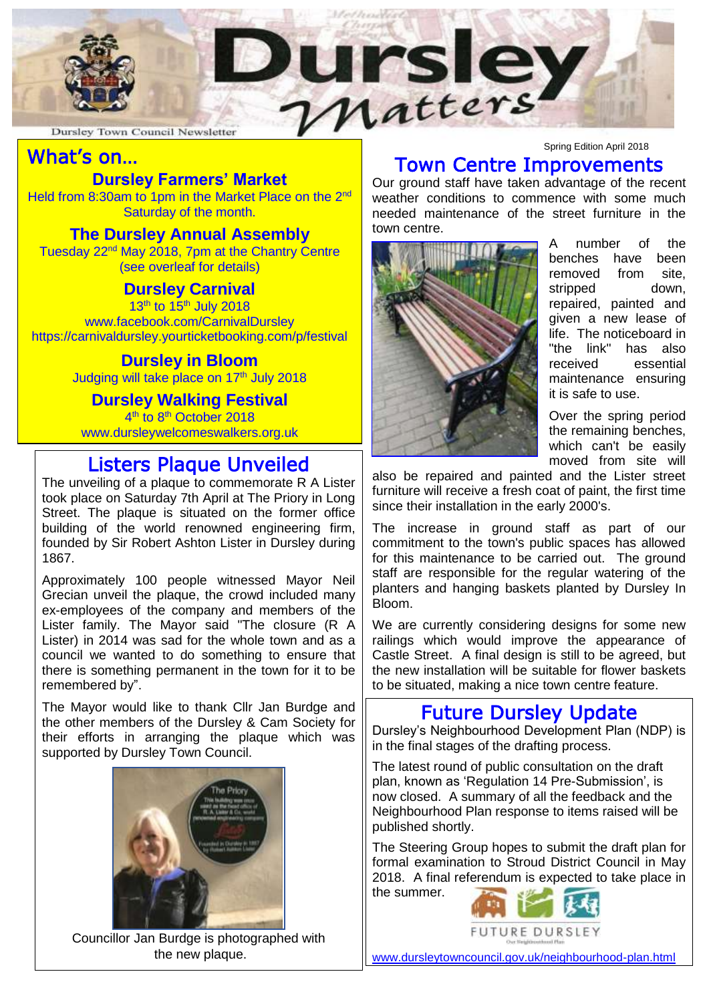

Dursley Town Council Newsletter

# What's on…

## **Dursley Farmers' Market**

Held from 8:30am to 1pm in the Market Place on the 2<sup>nd</sup> Saturday of the month.

#### **The Dursley Annual Assembly**

Tuesday 22nd May 2018, 7pm at the Chantry Centre (see overleaf for details)

#### **Dursley Carnival**

13<sup>th</sup> to 15<sup>th</sup> July 2018 [www.facebook.com/CarnivalDursley](http://www.facebook.com/CarnivalDursley) https://carnivaldursley.yourticketbooking.com/p/festival

#### **Dursley in Bloom**

Judging will take place on 17<sup>th</sup> July 2018

### **Dursley Walking Festival**

4<sup>th</sup> to 8<sup>th</sup> October 2018 www.dursleywelcomeswalkers.org.uk

### Listers Plaque Unveiled

The unveiling of a plaque to commemorate R A Lister took place on Saturday 7th April at The Priory in Long Street. The plaque is situated on the former office building of the world renowned engineering firm, founded by Sir Robert Ashton Lister in Dursley during 1867.

Approximately 100 people witnessed Mayor Neil Grecian unveil the plaque, the crowd included many ex-employees of the company and members of the Lister family. The Mayor said "The closure (R A Lister) in 2014 was sad for the whole town and as a council we wanted to do something to ensure that there is something permanent in the town for it to be remembered by".

The Mayor would like to thank Cllr Jan Burdge and the other members of the Dursley & Cam Society for their efforts in arranging the plaque which was supported by Dursley Town Council.



Councillor Jan Burdge is photographed with the new plaque.

Spring Edition April 2018 Town Centre Improvements

Our ground staff have taken advantage of the recent weather conditions to commence with some much needed maintenance of the street furniture in the town centre.



A number of the benches have been removed from site, stripped down. repaired, painted and given a new lease of life. The noticeboard in "the link" has also received essential maintenance ensuring it is safe to use.

Over the spring period the remaining benches, which can't be easily moved from site will

also be repaired and painted and the Lister street furniture will receive a fresh coat of paint, the first time since their installation in the early 2000's.

The increase in ground staff as part of our commitment to the town's public spaces has allowed for this maintenance to be carried out. The ground staff are responsible for the regular watering of the planters and hanging baskets planted by Dursley In Bloom.

We are currently considering designs for some new railings which would improve the appearance of Castle Street. A final design is still to be agreed, but the new installation will be suitable for flower baskets to be situated, making a nice town centre feature.

### Future Dursley Update

Dursley's Neighbourhood Development Plan (NDP) is in the final stages of the drafting process.

The latest round of public consultation on the draft plan, known as 'Regulation 14 Pre-Submission', is now closed. A summary of all the feedback and the Neighbourhood Plan response to items raised will be published shortly.

The Steering Group hopes to submit the draft plan for formal examination to Stroud District Council in May 2018. A final referendum is expected to take place in

the summer.



[www.dursleytowncouncil.gov.uk/neighbourhood-plan.html](http://www.dursleytowncouncil.gov.uk/neighbourhood-plan.html)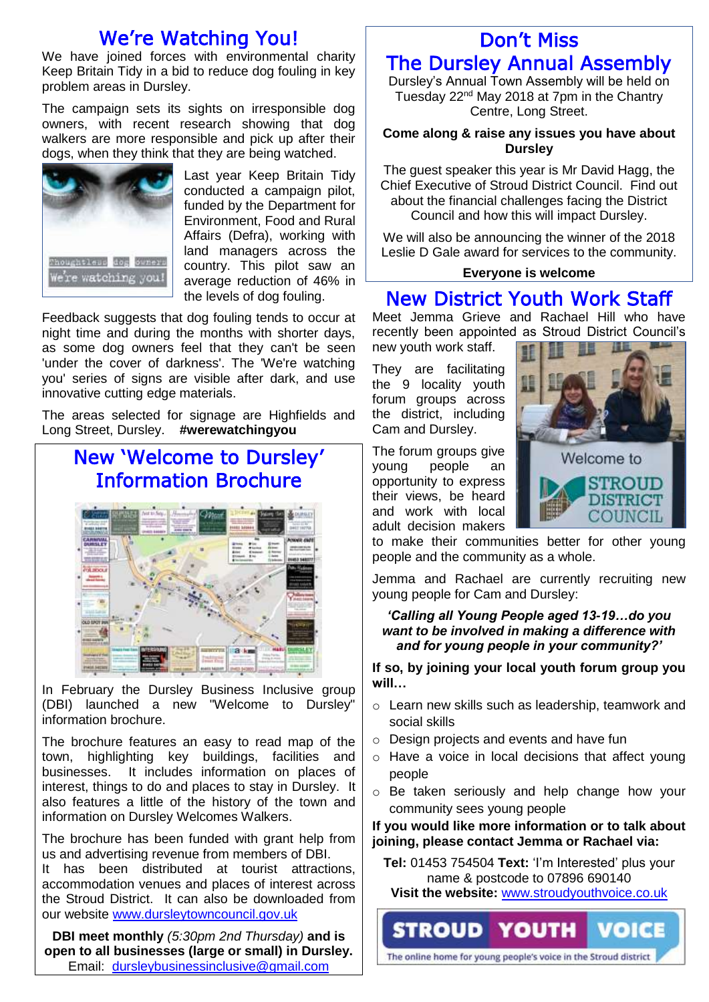## We're Watching You!

We have joined forces with environmental charity Keep Britain Tidy in a bid to reduce dog fouling in key problem areas in Dursley.

The campaign sets its sights on irresponsible dog owners, with recent research showing that dog walkers are more responsible and pick up after their dogs, when they think that they are being watched.



Last year Keep Britain Tidy conducted a campaign pilot, funded by the Department for Environment, Food and Rural Affairs (Defra), working with land managers across the country. This pilot saw an average reduction of 46% in the levels of dog fouling.

Feedback suggests that dog fouling tends to occur at night time and during the months with shorter days, as some dog owners feel that they can't be seen 'under the cover of darkness'. The 'We're watching you' series of signs are visible after dark, and use innovative cutting edge materials.

The areas selected for signage are Highfields and Long Street, Dursley. **#werewatchingyou**

# New 'Welcome to Dursley' Information Brochure



In February the Dursley Business Inclusive group (DBI) launched a new "Welcome to Dursley" information brochure.

The brochure features an easy to read map of the town, highlighting key buildings, facilities and businesses. It includes information on places of interest, things to do and places to stay in Dursley. It also features a little of the history of the town and information on Dursley Welcomes Walkers.

The brochure has been funded with grant help from us and advertising revenue from members of DBI. It has been distributed at tourist attractions, accommodation venues and places of interest across the Stroud District. It can also be downloaded from our website [www.dursleytowncouncil.gov.uk](http://www.dursleytowncouncil.gov.uk/)

**DBI meet monthly** *(5:30pm 2nd Thursday)* **and is open to all businesses (large or small) in Dursley.**  Email: [dursleybusinessinclusive@gmail.com](mailto:dursleybusinessinclusive@gmail.com)

## Don't Miss The Dursley Annual Assembly

Dursley's Annual Town Assembly will be held on Tuesday 22<sup>nd</sup> May 2018 at 7pm in the Chantry

Centre, Long Street.

#### **Come along & raise any issues you have about Dursley**

The guest speaker this year is Mr David Hagg, the Chief Executive of Stroud District Council. Find out about the financial challenges facing the District Council and how this will impact Dursley.

We will also be announcing the winner of the 2018 Leslie D Gale award for services to the community.

#### **Everyone is welcome**

### New District Youth Work Staff

Meet Jemma Grieve and Rachael Hill who have recently been appointed as Stroud District Council's new youth work staff.

They are facilitating the 9 locality youth forum groups across the district, including Cam and Dursley.

The forum groups give young people an opportunity to express their views, be heard and work with local adult decision makers



to make their communities better for other young people and the community as a whole.

Jemma and Rachael are currently recruiting new young people for Cam and Dursley:

#### *'Calling all Young People aged 13-19…do you want to be involved in making a difference with and for young people in your community?'*

**If so, by joining your local youth forum group you will…**

- o Learn new skills such as leadership, teamwork and social skills
- o Design projects and events and have fun
- o Have a voice in local decisions that affect young people
- o Be taken seriously and help change how your community sees young people

#### **If you would like more information or to talk about joining, please contact Jemma or Rachael via:**

**Tel:** 01453 754504 **Text:** 'I'm Interested' plus your name & postcode to 07896 690140

**Visit the website:** [www.stroudyouthvoice.co.uk](http://www.stroudyouthvoice.co.uk/)

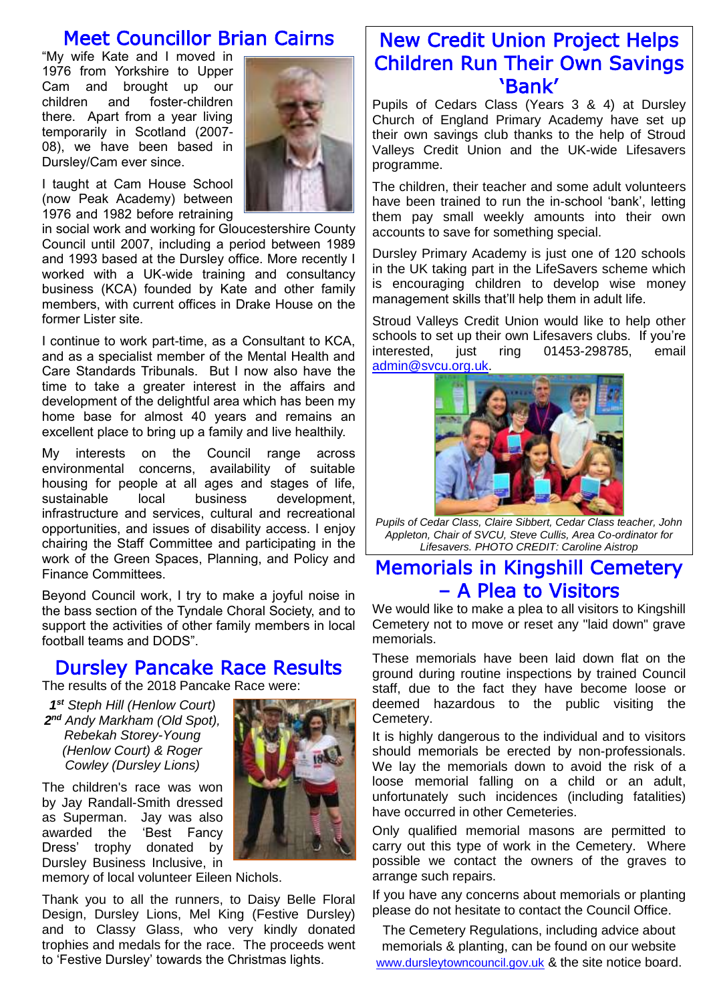### Meet Councillor Brian Cairns

"My wife Kate and I moved in 1976 from Yorkshire to Upper Cam and brought up our children and foster-children there. Apart from a year living temporarily in Scotland (2007- 08), we have been based in Dursley/Cam ever since.

I taught at Cam House School (now Peak Academy) between 1976 and 1982 before retraining

in social work and working for Gloucestershire County Council until 2007, including a period between 1989 and 1993 based at the Dursley office. More recently I worked with a UK-wide training and consultancy business (KCA) founded by Kate and other family members, with current offices in Drake House on the former Lister site.

I continue to work part-time, as a Consultant to KCA, and as a specialist member of the Mental Health and Care Standards Tribunals. But I now also have the time to take a greater interest in the affairs and development of the delightful area which has been my home base for almost 40 years and remains an excellent place to bring up a family and live healthily.

My interests on the Council range across environmental concerns, availability of suitable housing for people at all ages and stages of life, sustainable local business development, infrastructure and services, cultural and recreational opportunities, and issues of disability access. I enjoy chairing the Staff Committee and participating in the work of the Green Spaces, Planning, and Policy and Finance Committees.

Beyond Council work, I try to make a joyful noise in the bass section of the Tyndale Choral Society, and to support the activities of other family members in local football teams and DODS".

### Dursley Pancake Race Results

The results of the 2018 Pancake Race were:

*1 st Steph Hill (Henlow Court) 2 nd Andy Markham (Old Spot), Rebekah Storey-Young (Henlow Court) & Roger Cowley (Dursley Lions)*

The children's race was won by Jay Randall-Smith dressed as Superman. Jay was also awarded the 'Best Fancy Dress' trophy donated by Dursley Business Inclusive, in

memory of local volunteer Eileen Nichols.

Thank you to all the runners, to Daisy Belle Floral Design, Dursley Lions, Mel King (Festive Dursley) and to Classy Glass, who very kindly donated trophies and medals for the race. The proceeds went to 'Festive Dursley' towards the Christmas lights.



Pupils of Cedars Class (Years 3 & 4) at Dursley Church of England Primary Academy have set up their own savings club thanks to the help of Stroud Valleys Credit Union and the UK-wide Lifesavers programme.

The children, their teacher and some adult volunteers have been trained to run the in-school 'bank', letting them pay small weekly amounts into their own accounts to save for something special.

Dursley Primary Academy is just one of 120 schools in the UK taking part in the LifeSavers scheme which is encouraging children to develop wise money management skills that'll help them in adult life.

Stroud Valleys Credit Union would like to help other schools to set up their own Lifesavers clubs. If you're interested, just ring 01453-298785, email [admin@svcu.org.uk.](mailto:admin@svcu.org.uk)



*Pupils of Cedar Class, Claire Sibbert, Cedar Class teacher, John Appleton, Chair of SVCU, Steve Cullis, Area Co-ordinator for Lifesavers. PHOTO CREDIT: Caroline Aistrop*

### Memorials in Kingshill Cemetery – A Plea to Visitors

We would like to make a plea to all visitors to Kingshill Cemetery not to move or reset any "laid down" grave memorials.

These memorials have been laid down flat on the ground during routine inspections by trained Council staff, due to the fact they have become loose or deemed hazardous to the public visiting the Cemetery.

It is highly dangerous to the individual and to visitors should memorials be erected by non-professionals. We lay the memorials down to avoid the risk of a loose memorial falling on a child or an adult, unfortunately such incidences (including fatalities) have occurred in other Cemeteries.

Only qualified memorial masons are permitted to carry out this type of work in the Cemetery. Where possible we contact the owners of the graves to arrange such repairs.

If you have any concerns about memorials or planting please do not hesitate to contact the Council Office.

The Cemetery Regulations, including advice about memorials & planting, can be found on our website [www.dursleytowncouncil.gov.uk](http://www.dursleytowncouncil.gov.uk/) & the site notice board.